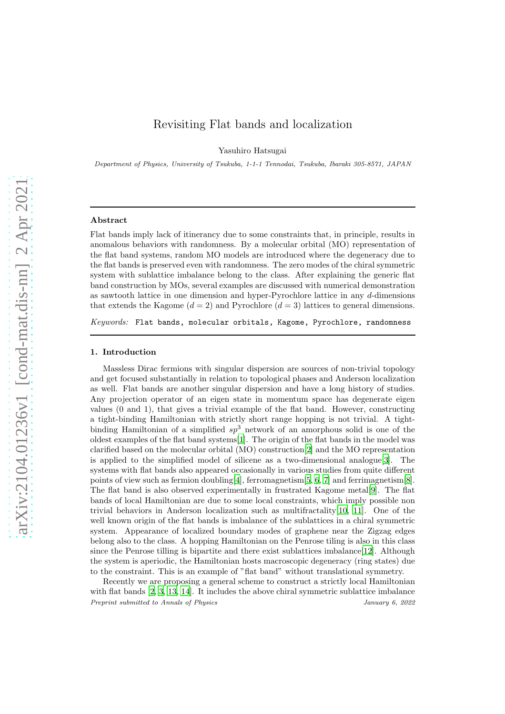# Revisiting Flat bands and localization

Yasuhiro Hatsugai

Department of Physics, University of Tsukuba, 1-1-1 Tennodai, Tsukuba, Ibaraki 305-8571, JAPAN

#### Abstract

Flat bands imply lack of itinerancy due to some constraints that, in principle, results in anomalous behaviors with randomness. By a molecular orbital (MO) representation of the flat band systems, random MO models are introduced where the degeneracy due to the flat bands is preserved even with randomness. The zero modes of the chiral symmetric system with sublattice imbalance belong to the class. After explaining the generic flat band construction by MOs, several examples are discussed with numerical demonstration as sawtooth lattice in one dimension and hyper-Pyrochlore lattice in any d-dimensions that extends the Kagome  $(d = 2)$  and Pyrochlore  $(d = 3)$  lattices to general dimensions.

*Keywords:* Flat bands, molecular orbitals, Kagome, Pyrochlore, randomness

### 1. Introduction

Massless Dirac fermions with singular dispersion are sources of non-trivial topology and get focused substantially in relation to topological phases and Anderson localization as well. Flat bands are another singular dispersion and have a long history of studies. Any projection operator of an eigen state in momentum space has degenerate eigen values (0 and 1), that gives a trivial example of the flat band. However, constructing a tight-binding Hamiltonian with strictly short range hopping is not trivial. A tightbinding Hamiltonian of a simplified  $sp^3$  network of an amorphous solid is one of the oldest examples of the flat band systems[\[1\]](#page-10-0). The origin of the flat bands in the model was clarified based on the molecular orbital (MO) construction[\[2](#page-10-1)] and the MO representation is applied to the simplified model of silicene as a two-dimensional analogue[\[3\]](#page-10-2). The systems with flat bands also appeared occasionally in various studies from quite different points of view such as fermion doubling [\[4\]](#page-10-3), ferromagnetism [\[5,](#page-10-4) [6](#page-10-5), [7\]](#page-10-6) and ferrimagnetism [\[8\]](#page-10-7). The flat band is also observed experimentally in frustrated Kagome metal[\[9\]](#page-10-8). The flat bands of local Hamiltonian are due to some local constraints, which imply possible non trivial behaviors in Anderson localization such as multifractality[\[10,](#page-10-9) [11](#page-10-10)]. One of the well known origin of the flat bands is imbalance of the sublattices in a chiral symmetric system. Appearance of localized boundary modes of graphene near the Zigzag edges belong also to the class. A hopping Hamiltonian on the Penrose tiling is also in this class since the Penrose tilling is bipartite and there exist sublattices imbalance[\[12](#page-10-11)]. Although the system is aperiodic, the Hamiltonian hosts macroscopic degeneracy (ring states) due to the constraint. This is an example of "flat band" without translational symmetry.

Recently we are proposing a general scheme to construct a strictly local Hamiltonian with flat bands [\[2,](#page-10-1) [3](#page-10-2), [13,](#page-10-12) [14\]](#page-10-13). It includes the above chiral symmetric sublattice imbalance Preprint submitted to Annals of Physics Services Annals of Physics 30022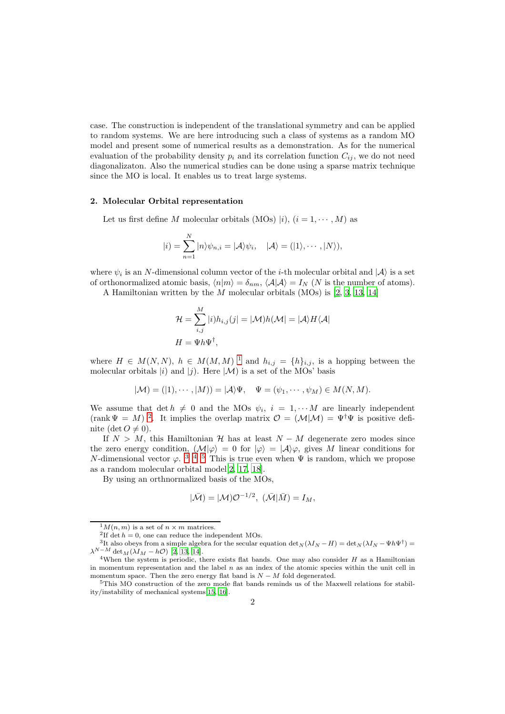case. The construction is independent of the translational symmetry and can be applied to random systems. We are here introducing such a class of systems as a random MO model and present some of numerical results as a demonstration. As for the numerical evaluation of the probability density  $p_i$  and its correlation function  $C_{ij}$ , we do not need diagonalizaton. Also the numerical studies can be done using a sparse matrix technique since the MO is local. It enables us to treat large systems.

#### 2. Molecular Orbital representation

Let us first define M molecular orbitals (MOs)  $|i\rangle$ ,  $(i = 1, \dots, M)$  as

$$
|i) = \sum_{n=1}^{N} |n\rangle \psi_{n,i} = |\mathcal{A}\rangle \psi_i, \quad |\mathcal{A}\rangle = (|1\rangle, \cdots, |N\rangle),
$$

where  $\psi_i$  is an N-dimensional column vector of the *i*-th molecular orbital and  $|\mathcal{A}\rangle$  is a set of orthonormalized atomic basis,  $\langle n|m\rangle = \delta_{nm}$ ,  $\langle A|\mathcal{A}\rangle = I_N$  (N is the number of atoms). A Hamiltonian written by the M molecular orbitals (MOs) is [\[2,](#page-10-1) [3,](#page-10-2) [13,](#page-10-12) [14\]](#page-10-13)

$$
\mathcal{H} = \sum_{i,j}^{M} |i)h_{i,j}(j| = |\mathcal{M})h(\mathcal{M}| = |\mathcal{A}\rangle H \langle \mathcal{A}|
$$

where  $H \in M(N, N)$ ,  $h \in M(M, M)^{-1}$  $h \in M(M, M)^{-1}$  $h \in M(M, M)^{-1}$  and  $h_{i,j} = \{h\}_{i,j}$ , is a hopping between the molecular orbitals  $|i\rangle$  and  $|j\rangle$ . Here  $|\mathcal{M}\rangle$  is a set of the MOs' basis

$$
|\mathcal{M}) = (|1), \cdots, |M)) = |\mathcal{A}\rangle \Psi, \quad \Psi = (\psi_1, \cdots, \psi_M) \in M(N, M).
$$

We assume that  $\det h \neq 0$  and the MOs  $\psi_i$ ,  $i = 1, \dots M$  are linearly independent (rank  $\Psi = M$ )<sup>[2](#page-1-1)</sup>. It implies the overlap matrix  $\mathcal{O} = (\mathcal{M}|\mathcal{M}) = \Psi^{\dagger}\Psi$  is positive definite (det  $O \neq 0$ ).

If  $N > M$ , this Hamiltonian H has at least  $N - M$  degenerate zero modes since the zero energy condition,  $(M|\varphi) = 0$  for  $|\varphi\rangle = |\mathcal{A}\rangle\varphi$ , gives M linear conditions for N-dimensional vector  $\varphi$ .<sup>[3](#page-1-2)45</sup> This is true even when  $\Psi$  is random, which we propose as a random molecular orbital model[\[2](#page-10-1), [17](#page-10-14), [18](#page-11-0)].

By using an orthnormalized basis of the MOs,

 $H=\Psi h \Psi ^{\dagger },$ 

$$
|\bar{\mathcal{M}}) = |\mathcal{M}| \mathcal{O}^{-1/2}, \; (\bar{\mathcal{M}}|\bar{M}) = I_M,
$$

 $^{1}M(n,m)$  is a set of  $n \times m$  matrices.

<span id="page-1-1"></span><span id="page-1-0"></span><sup>&</sup>lt;sup>2</sup>If det  $h = 0$ , one can reduce the independent MOs.

<span id="page-1-2"></span><sup>&</sup>lt;sup>3</sup>It also obeys from a simple algebra for the secular equation  $\det_N(\lambda I_N - H) = \det_N(\lambda I_N - \Psi h \Psi^{\dagger}) =$  $\lambda^{N-M}$  det  $M(\lambda I_M-h\mathcal{O})$  [\[2,](#page-10-1) [13](#page-10-12), [14\]](#page-10-13).

<span id="page-1-3"></span><sup>&</sup>lt;sup>4</sup>When the system is periodic, there exists flat bands. One may also consider  $H$  as a Hamiltonian in momentum representation and the label n as an index of the atomic species within the unit cell in momentum space. Then the zero energy flat band is  $N - M$  fold degenerated.

<span id="page-1-4"></span><sup>5</sup>This MO construction of the zero mode flat bands reminds us of the Maxwell relations for stability/instability of mechanical systems[\[15](#page-10-15), [16\]](#page-10-16).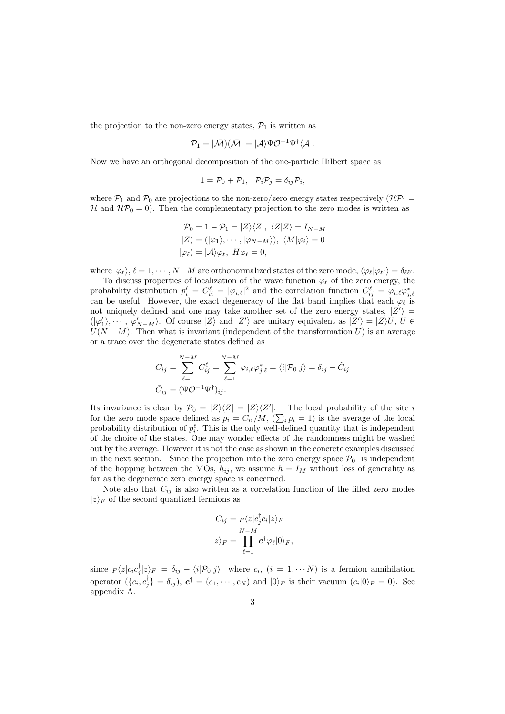the projection to the non-zero energy states,  $P_1$  is written as

$$
\mathcal{P}_1=|\bar{\mathcal{M}})(\bar{\mathcal{M}}|=|\mathcal{A}\rangle \Psi \mathcal{O}^{-1}\Psi^\dagger \langle \mathcal{A}|.
$$

Now we have an orthogonal decomposition of the one-particle Hilbert space as

$$
1 = \mathcal{P}_0 + \mathcal{P}_1, \quad \mathcal{P}_i \mathcal{P}_j = \delta_{ij} \mathcal{P}_i,
$$

where  $P_1$  and  $P_0$  are projections to the non-zero/zero energy states respectively  $(\mathcal{HP}_1 =$ H and  $\mathcal{HP}_0 = 0$ ). Then the complementary projection to the zero modes is written as

$$
\mathcal{P}_0 = 1 - \mathcal{P}_1 = |Z\rangle\langle Z|, \ \langle Z|Z\rangle = I_{N-M}
$$

$$
|Z\rangle = (|\varphi_1\rangle, \cdots, |\varphi_{N-M}\rangle), \ \langle M|\varphi_i\rangle = 0
$$

$$
|\varphi_\ell\rangle = |A\rangle\varphi_\ell, \ H\varphi_\ell = 0,
$$

where  $|\varphi_{\ell}\rangle$ ,  $\ell = 1, \cdots, N-M$  are orthonormalized states of the zero mode,  $\langle \varphi_{\ell} | \varphi_{\ell'} \rangle = \delta_{\ell \ell'}$ .

To discuss properties of localization of the wave function  $\varphi_{\ell}$  of the zero energy, the probability distribution  $p_i^{\ell} = C_{ii}^{\ell} = |\varphi_{i,\ell}|^2$  and the correlation function  $C_{ij}^{\ell} = \varphi_{i,\ell} \varphi_{j,\ell}^*$  can be useful. However, the exact degeneracy of the flat band implies that each  $\varphi_{\ell}$  is not uniquely defined and one may take another set of the zero energy states,  $|Z'\rangle =$  $(|\varphi'_1\rangle, \cdots, |\varphi'_{N-M}\rangle$ . Of course  $|Z\rangle$  and  $|Z'\rangle$  are unitary equivalent as  $|Z'\rangle = |Z\rangle U, U \in$  $U(N - M)$ . Then what is invariant (independent of the transformation U) is an average or a trace over the degenerate states defined as

$$
C_{ij} = \sum_{\ell=1}^{N-M} C_{ij}^{\ell} = \sum_{\ell=1}^{N-M} \varphi_{i,\ell} \varphi_{j,\ell}^{*} = \langle i | \mathcal{P}_0 | j \rangle = \delta_{ij} - \tilde{C}_{ij}
$$

$$
\tilde{C}_{ij} = (\Psi \mathcal{O}^{-1} \Psi^{\dagger})_{ij}.
$$

Its invariance is clear by  $\mathcal{P}_0 = |Z\rangle\langle Z| = |Z\rangle\langle Z'|$ . The local probability of the site i for the zero mode space defined as  $p_i = C_{ii}/M$ ,  $(\sum_i p_i = 1)$  is the average of the local probability distribution of  $p_i^{\ell}$ . This is the only well-defined quantity that is independent of the choice of the states. One may wonder effects of the randomness might be washed out by the average. However it is not the case as shown in the concrete examples discussed in the next section. Since the projection into the zero energy space  $P_0$  is independent of the hopping between the MOs,  $h_{ij}$ , we assume  $h = I_M$  without loss of generality as far as the degenerate zero energy space is concerned.

Note also that  $C_{ij}$  is also written as a correlation function of the filled zero modes  $|z\rangle_F$  of the second quantized fermions as

$$
C_{ij} = F \langle z | c_j^{\dagger} c_i | z \rangle_F
$$
  

$$
|z \rangle_F = \prod_{\ell=1}^{N-M} c^{\dagger} \varphi_{\ell} |0 \rangle_F,
$$

since  $F(z|c_i c_j^{\dagger}|z\rangle_F = \delta_{ij} - \langle i|\mathcal{P}_0|j\rangle$  where  $c_i$ ,  $(i = 1, \cdots N)$  is a fermion annihilation operator  $(\{c_i, c_j^{\dagger}\} = \delta_{ij}), c^{\dagger} = (c_1, \dots, c_N)$  and  $|0\rangle_F$  is their vacuum  $(c_i|0\rangle_F = 0)$ . See appendix A.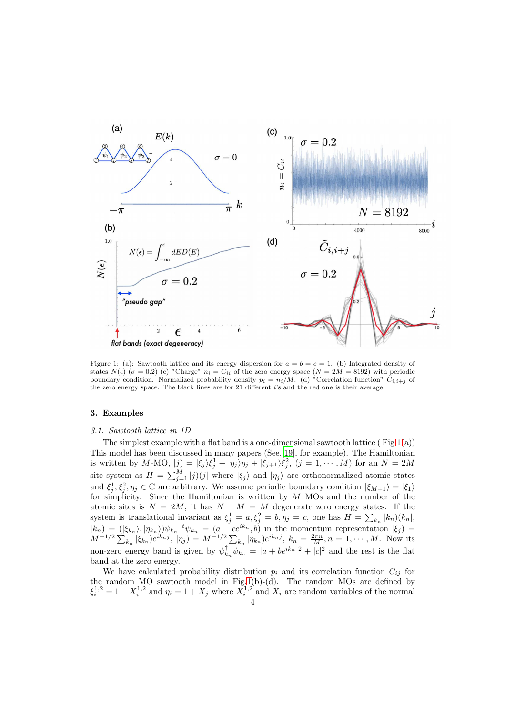

<span id="page-3-0"></span>Figure 1: (a): Sawtooth lattice and its energy dispersion for  $a = b = c = 1$ . (b) Integrated density of states  $N(\epsilon)$  ( $\sigma = 0.2$ ) (c) "Charge"  $n_i = C_{ii}$  of the zero energy space ( $N = 2M = 8192$ ) with periodic boundary condition. Normalized probability density  $p_i = n_i/M$ . (d) "Correlation function"  $\tilde{C}_{i,i+j}$  of the zero energy space. The black lines are for 21 different i's and the red one is their average.

## 3. Examples

#### *3.1. Sawtooth lattice in 1D*

The simplest example with a flat band is a one-dimensional sawtooth lattice ( $\text{Fig.1(a)}$  $\text{Fig.1(a)}$  $\text{Fig.1(a)}$ ) This model has been discussed in many papers (See.[\[19\]](#page-11-1), for example). The Hamiltonian is written by M-MO,  $|j\rangle = |\xi_j\rangle \xi_j^1 + |\eta_j\rangle \eta_j + |\xi_{j+1}\rangle \xi_j^2$ ,  $(j = 1, \dots, M)$  for an  $N = 2M$ site system as  $H = \sum_{j=1}^{M} |j\rangle(j|)$  where  $|\xi_j\rangle$  and  $|\eta_j\rangle$  are orthonormalized atomic states and  $\xi_j^1, \xi_j^2, \eta_j \in \mathbb{C}$  are arbitrary. We assume periodic boundary condition  $|\xi_{M+1}\rangle = |\xi_1\rangle$ for simplicity. Since the Hamiltonian is written by  $M$  MOs and the number of the atomic sites is  $N = 2M$ , it has  $N - M = M$  degenerate zero energy states. If the system is translational invariant as  $\xi_j^1 = a, \xi_j^2 = b, \eta_j = c$ , one has  $H = \sum_{k_n} |k_n\rangle (k_n)$ ,  $|k_n\rangle = (|\xi_{k_n}\rangle, |\eta_{k_n}\rangle)\psi_{k_n}$ <sup>t</sup> $\psi_{k_n} = (a + ce^{ik_n}, b)$  in the momentum representation  $|\xi_j\rangle =$  $M^{-1/2} \sum_{k_n} |\xi_{k_n} \rangle e^{ik_n j}, |\eta_j \rangle = M^{-1/2} \sum_{k_n} |\eta_{k_n} \rangle e^{ik_n j}, k_n = \frac{2\pi n}{M}, n = 1, \cdots, M.$  Now its non-zero energy band is given by  $\psi_{k_n}^{\dagger} \psi_{k_n} = |a + be^{ik_n}|^2 + |c|^2$  and the rest is the flat band at the zero energy.

We have calculated probability distribution  $p_i$  and its correlation function  $C_{ij}$  for the random MO sawtooth model in Fig[.1\(](#page-3-0)b)-(d). The random MOs are defined by  $\xi_i^{1,2} = 1 + X_i^{1,2}$  and  $\eta_i = 1 + X_j$  where  $X_i^{1,2}$  and  $X_i$  are random variables of the normal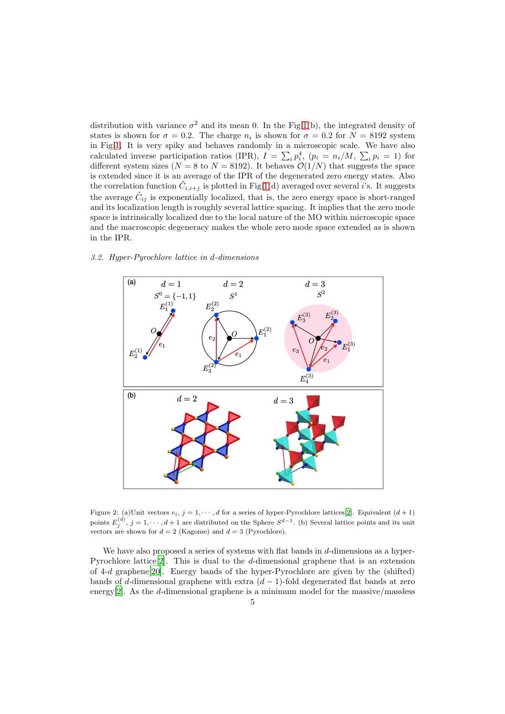distribution with variance  $\sigma^2$  and its mean 0. In the Fig[.1\(](#page-3-0)b), the integrated density of states is shown for  $\sigma = 0.2$ . The charge  $n_i$  is shown for  $\sigma = 0.2$  for  $N = 8192$  system in Fig[.1.](#page-3-0) It is very spiky and behaves randomly in a microscopic scale. We have also calculated inverse participation ratios (IPR),  $I = \sum_i p_i^4$ ,  $(p_i = n_i/M, \sum_i p_i = 1)$  for different system sizes ( $N = 8$  to  $N = 8192$ ). It behaves  $\mathcal{O}(1/N)$  that suggests the space is extended since it is an average of the IPR of the degenerated zero energy states. Also the correlation function  $\tilde{C}_{i,i+j}$  is plotted in Fig[.1\(](#page-3-0)d) averaged over several i's. It suggests the average  $\tilde{C}_{ij}$  is exponentially localized, that is, the zero energy space is short-ranged and its localization length is roughly several lattice spacing. It implies that the zero mode space is intrinsically localized due to the local nature of the MO within microscopic space and the macroscopic degeneracy makes the whole zero mode space extended as is shown in the IPR.



## *3.2. Hyper-Pyrochlore lattice in* d*-dimensions*

<span id="page-4-0"></span>Figure 2: (a)Unit vectors  $e_i$ ,  $j = 1, \dots, d$  for a series of hyper-Pyrochlore lattices[\[2\]](#page-10-1). Equivalent  $(d+1)$ points  $E_j^{(d)}$ ,  $j = 1, \dots, d+1$  are distributed on the Sphere  $S^{d-1}$ . (b) Several lattice points and its unit vectors are shown for  $d = 2$  (Kagome) and  $d = 3$  (Pyrochlore).

We have also proposed a series of systems with flat bands in  $d$ -dimensions as a hyper-Pyrochlore lattice[\[2](#page-10-1)]. This is dual to the d-dimensional graphene that is an extension of 4-d graphene[\[20\]](#page-11-2). Energy bands of the hyper-Pyrochlore are given by the (shifted) bands of d-dimensional graphene with extra  $(d-1)$ -fold degenerated flat bands at zero energy[\[2\]](#page-10-1). As the d-dimensional graphene is a minimum model for the massive/massless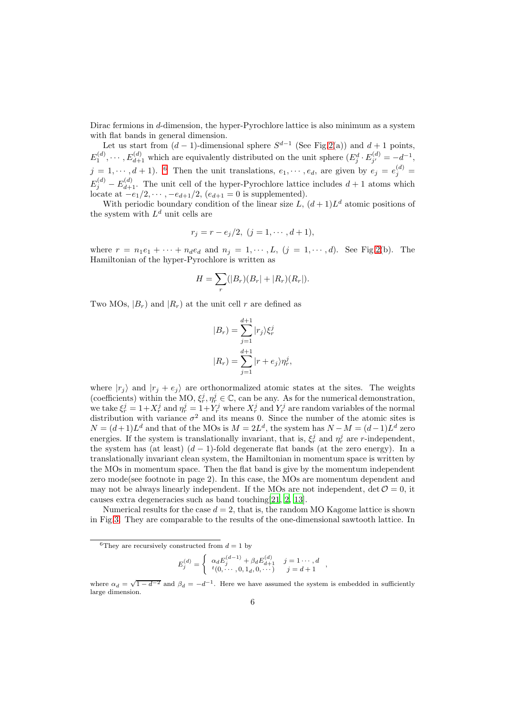Dirac fermions in d-dimension, the hyper-Pyrochlore lattice is also minimum as a system with flat bands in general dimension.

Let us start from  $(d-1)$ -dimensional sphere  $S^{d-1}$  (See Fig[.2\(](#page-4-0)a)) and  $d+1$  points,  $E_1^{(d)}, \cdots, E_{d+1}^{(d)}$  which are equivalently distributed on the unit sphere  $(E_j^d \cdot E_{j'}^{(d)})$  $j'_{j'} = -d^{-1},$  $j = 1, \dots, d + 1$ ). <sup>[6](#page-5-0)</sup> Then the unit translations,  $e_1, \dots, e_d$ , are given by  $e_j = e_j^{(d)}$  $E_j^{(d)} - E_{d+1}^{(d)}$ . The unit cell of the hyper-Pyrochlore lattice includes  $d+1$  atoms which locate at  $-e_1/2, \cdots, -e_{d+1}/2, (e_{d+1}=0)$  is supplemented).

With periodic boundary condition of the linear size L,  $(d+1)L<sup>d</sup>$  atomic positions of the system with  $L^d$  unit cells are

$$
r_j = r - e_j/2, \ (j = 1, \cdots, d + 1),
$$

where  $r = n_1 e_1 + \cdots + n_d e_d$  and  $n_j = 1, \cdots, L$ ,  $(j = 1, \cdots, d)$ . See Fig[.2\(](#page-4-0)b). The Hamiltonian of the hyper-Pyrochlore is written as

$$
H = \sum_{r} (|B_r)(B_r| + |R_r)(R_r|).
$$

Two MOs,  $|B_r|$  and  $|R_r|$  at the unit cell r are defined as

$$
|B_r) = \sum_{j=1}^{d+1} |r_j\rangle \xi_r^j
$$
  

$$
|R_r) = \sum_{j=1}^{d+1} |r + e_j\rangle \eta_r^j,
$$

where  $|r_j\rangle$  and  $|r_j + e_j\rangle$  are orthonormalized atomic states at the sites. The weights (coefficients) within the MO,  $\xi_r^j, \eta_r^j \in \mathbb{C}$ , can be any. As for the numerical demonstration, we take  $\xi_r^j = 1 + X_r^j$  and  $\eta_r^j = 1 + Y_r^j$  where  $X_r^j$  and  $Y_r^j$  are random variables of the normal distribution with variance  $\sigma^2$  and its means 0. Since the number of the atomic sites is  $N = (d+1)L<sup>d</sup>$  and that of the MOs is  $M = 2L<sup>d</sup>$ , the system has  $N - M = (d-1)L<sup>d</sup>$  zero energies. If the system is translationally invariant, that is,  $\xi_r^j$  and  $\eta_r^j$  are r-independent, the system has (at least)  $(d-1)$ -fold degenerate flat bands (at the zero energy). In a translationally invariant clean system, the Hamiltonian in momentum space is written by the MOs in momentum space. Then the flat band is give by the momentum independent zero mode(see footnote in page 2). In this case, the MOs are momentum dependent and may not be always linearly independent. If the MOs are not independent,  $\det \mathcal{O} = 0$ , it causes extra degeneracies such as band touching[\[21,](#page-11-3) [2,](#page-10-1) [13\]](#page-10-12).

Numerical results for the case  $d = 2$ , that is, the random MO Kagome lattice is shown in Fig[.3.](#page-6-0) They are comparable to the results of the one-dimensional sawtooth lattice. In

$$
E_j^{(d)} = \begin{cases} \alpha_d E_j^{(d-1)} + \beta_d E_{d+1}^{(d)} & j = 1 \cdots, d \\ t(0, \cdots, 0, 1_d, 0, \cdots) & j = d+1 \end{cases}
$$

,

<span id="page-5-0"></span><sup>&</sup>lt;sup>6</sup>They are recursively constructed from  $d = 1$  by

where  $\alpha_d = \sqrt{1 - d^{-2}}$  and  $\beta_d = -d^{-1}$ . Here we have assumed the system is embedded in sufficiently large dimension.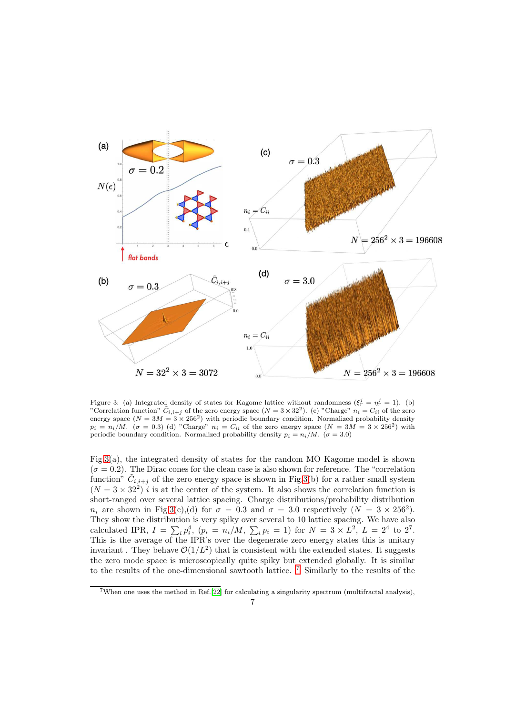

<span id="page-6-0"></span>Figure 3: (a) Integrated density of states for Kagome lattice without randomness  $(\xi_r^j = \eta_r^j = 1)$ . (b) "Correlation function"  $C_{i,i+j}$  of the zero energy space  $(N = 3 \times 32^2)$ . (c) "Charge"  $n_i = C_{ii}$  of the zero energy space  $(N = 3M = 3 \times 256^2)$  with periodic boundary condition. Normalized probability density  $p_i = n_i/M$ .  $(\sigma = 0.3)$  (d) "Charge"  $n_i = C_{ii}$  of the zero energy space  $(N = 3M = 3 \times 256^2)$  with periodic boundary condition. Normalized probability density  $p_i = n_i/M$ . ( $\sigma = 3.0$ )

Fig[.3\(](#page-6-0)a), the integrated density of states for the random MO Kagome model is shown  $(\sigma = 0.2)$ . The Dirac cones for the clean case is also shown for reference. The "correlation" function"  $\tilde{C}_{i,i+j}$  of the zero energy space is shown in Fig[.3\(](#page-6-0)b) for a rather small system  $(N = 3 \times 32^2)$  *i* is at the center of the system. It also shows the correlation function is short-ranged over several lattice spacing. Charge distributions/probability distribution  $n_i$  are shown in Fig[.3\(](#page-6-0)c),(d) for  $\sigma = 0.3$  and  $\sigma = 3.0$  respectively  $(N = 3 \times 256^2)$ . They show the distribution is very spiky over several to 10 lattice spacing. We have also calculated IPR,  $I = \sum_i p_i^4$ ,  $(p_i = n_i/M, \sum_i p_i = 1)$  for  $N = 3 \times L^2$ ,  $L = 2^4$  to 2<sup>7</sup>. This is the average of the IPR's over the degenerate zero energy states this is unitary invariant. They behave  $\mathcal{O}(1/L^2)$  that is consistent with the extended states. It suggests the zero mode space is microscopically quite spiky but extended globally. It is similar to the results of the one-dimensional sawtooth lattice. [7](#page-6-1) Similarly to the results of the

<span id="page-6-1"></span><sup>7</sup>When one uses the method in Ref.[\[22\]](#page-11-4) for calculating a singularity spectrum (multifractal analysis),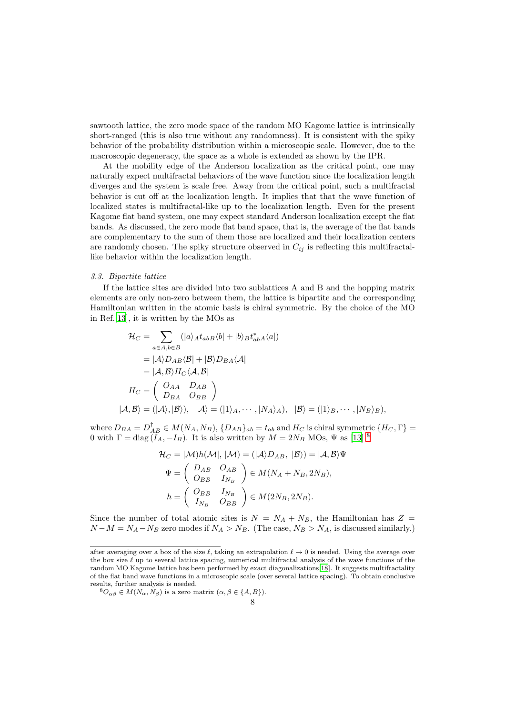sawtooth lattice, the zero mode space of the random MO Kagome lattice is intrinsically short-ranged (this is also true without any randomness). It is consistent with the spiky behavior of the probability distribution within a microscopic scale. However, due to the macroscopic degeneracy, the space as a whole is extended as shown by the IPR.

At the mobility edge of the Anderson localization as the critical point, one may naturally expect multifractal behaviors of the wave function since the localization length diverges and the system is scale free. Away from the critical point, such a multifractal behavior is cut off at the localization length. It implies that that the wave function of localized states is multifractal-like up to the localization length. Even for the present Kagome flat band system, one may expect standard Anderson localization except the flat bands. As discussed, the zero mode flat band space, that is, the average of the flat bands are complementary to the sum of them those are localized and their localization centers are randomly chosen. The spiky structure observed in  $C_{ij}$  is reflecting this multifractallike behavior within the localization length.

## *3.3. Bipartite lattice*

If the lattice sites are divided into two sublattices A and B and the hopping matrix elements are only non-zero between them, the lattice is bipartite and the corresponding Hamiltonian written in the atomic basis is chiral symmetric. By the choice of the MO in Ref.[\[13](#page-10-12)], it is written by the MOs as

$$
\mathcal{H}_{C} = \sum_{a \in A, b \in B} (|a\rangle_{A} t_{ab} B \langle b| + |b\rangle_{B} t_{ab}^{*} A \langle a|)
$$
  
\n
$$
= |\mathcal{A}\rangle D_{AB} \langle \mathcal{B}| + |\mathcal{B}\rangle D_{BA} \langle \mathcal{A}|
$$
  
\n
$$
= |\mathcal{A}, \mathcal{B}\rangle H_{C} \langle \mathcal{A}, \mathcal{B}|
$$
  
\n
$$
H_{C} = \begin{pmatrix} O_{AA} & D_{AB} \\ D_{BA} & O_{BB} \end{pmatrix}
$$
  
\n
$$
|\mathcal{A}, \mathcal{B}\rangle = (|\mathcal{A}\rangle, |\mathcal{B}\rangle), \quad |\mathcal{A}\rangle = (|1\rangle_{A}, \cdots, |N_{A}\rangle_{A}), \quad |\mathcal{B}\rangle = (|1\rangle_{B}, \cdots, |N_{B}\rangle_{B}),
$$

where  $D_{BA} = D_{AB}^{\dagger} \in M(N_A, N_B), \{D_{AB}\}_{ab} = t_{ab}$  and  $H_C$  is chiral symmetric  $\{H_C, \Gamma\}$ 0 with  $\Gamma = \text{diag}(I_A, -I_B)$ . It is also written by  $M = 2N_B \text{ MOS}, \Psi \text{ as [13]}^8$  $M = 2N_B \text{ MOS}, \Psi \text{ as [13]}^8$  $M = 2N_B \text{ MOS}, \Psi \text{ as [13]}^8$  $M = 2N_B \text{ MOS}, \Psi \text{ as [13]}^8$ 

$$
\mathcal{H}_C = |\mathcal{M}| h(\mathcal{M}|, |\mathcal{M}) = (|\mathcal{A}\rangle D_{AB}, |\mathcal{B}\rangle) = |\mathcal{A}, \mathcal{B}\rangle \Psi
$$

$$
\Psi = \begin{pmatrix} D_{AB} & O_{AB} \\ O_{BB} & I_{N_B} \end{pmatrix} \in M(N_A + N_B, 2N_B),
$$

$$
h = \begin{pmatrix} O_{BB} & I_{N_B} \\ I_{N_B} & O_{BB} \end{pmatrix} \in M(2N_B, 2N_B).
$$

Since the number of total atomic sites is  $N = N_A + N_B$ , the Hamiltonian has Z =  $N-M = N_A - N_B$  zero modes if  $N_A > N_B$ . (The case,  $N_B > N_A$ , is discussed similarly.)

after averaging over a box of the size  $\ell$ , taking an extrapolation  $\ell \to 0$  is needed. Using the average over the box size  $\ell$  up to several lattice spacing, numerical multifractal analysis of the wave functions of the random MO Kagome lattice has been performed by exact diagonalizations[\[18\]](#page-11-0). It suggests multifractality of the flat band wave functions in a microscopic scale (over several lattice spacing). To obtain conclusive results, further analysis is needed.

<span id="page-7-0"></span> ${}^8O_{\alpha\beta} \in M(N_\alpha, N_\beta)$  is a zero matrix  $(\alpha, \beta \in \{A, B\}).$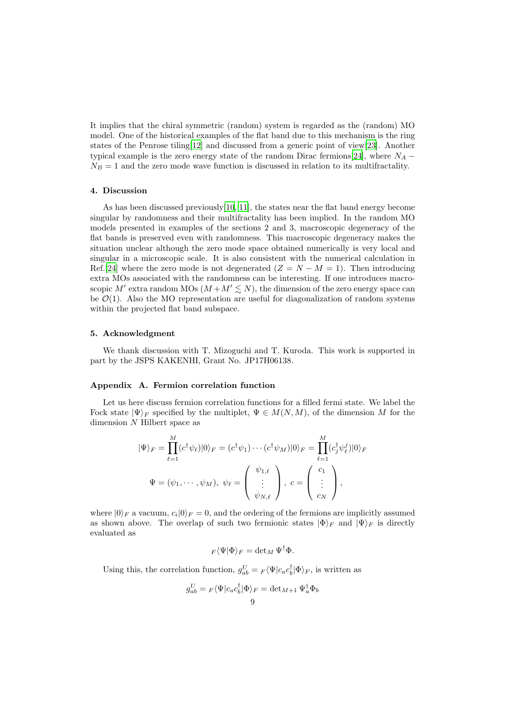It implies that the chiral symmetric (random) system is regarded as the (random) MO model. One of the historical examples of the flat band due to this mechanism is the ring states of the Penrose tiling[\[12\]](#page-10-11) and discussed from a generic point of view[\[23\]](#page-11-5). Another typical example is the zero energy state of the random Dirac fermions[\[24](#page-11-6)], where  $N_A$  –  $N_B = 1$  and the zero mode wave function is discussed in relation to its multifractality.

#### 4. Discussion

As has been discussed previously[\[10,](#page-10-9) [11\]](#page-10-10), the states near the flat band energy become singular by randomness and their multifractality has been implied. In the random MO models presented in examples of the sections 2 and 3, macroscopic degeneracy of the flat bands is preserved even with randomness. This macroscopic degeneracy makes the situation unclear although the zero mode space obtained numerically is very local and singular in a microscopic scale. It is also consistent with the numerical calculation in Ref.[\[24\]](#page-11-6) where the zero mode is not degenerated  $(Z = N - M = 1)$ . Then introducing extra MOs associated with the randomness can be interesting. If one introduces macroscopic M' extra random MOs  $(M + M' \leq N)$ , the dimension of the zero energy space can be  $\mathcal{O}(1)$ . Also the MO representation are useful for diagonalization of random systems within the projected flat band subspace.

## 5. Acknowledgment

We thank discussion with T. Mizoguchi and T. Kuroda. This work is supported in part by the JSPS KAKENHI, Grant No. JP17H06138.

#### Appendix A. Fermion correlation function

Let us here discuss fermion correlation functions for a filled fermi state. We label the Fock state  $|\Psi\rangle_F$  specified by the multiplet,  $\Psi \in M(N, M)$ , of the dimension M for the dimension N Hilbert space as

$$
|\Psi\rangle_F = \prod_{\ell=1}^M (c^\dagger \psi_\ell)|0\rangle_F = (c^\dagger \psi_1) \cdots (c^\dagger \psi_M)|0\rangle_F = \prod_{\ell=1}^M (c^\dagger_j \psi^j_\ell)|0\rangle_F
$$
  

$$
\Psi = (\psi_1, \cdots, \psi_M), \ \psi_\ell = \left(\begin{array}{c} \psi_{1,\ell} \\ \vdots \\ \psi_{N,\ell} \end{array}\right), \ c = \left(\begin{array}{c} c_1 \\ \vdots \\ c_N \end{array}\right),
$$

where  $|0\rangle_F$  a vacuum,  $c_i|0\rangle_F = 0$ , and the ordering of the fermions are implicitly assumed as shown above. The overlap of such two fermionic states  $|\Phi\rangle_F$  and  $|\Psi\rangle_F$  is directly evaluated as

$$
F\langle\Psi|\Phi\rangle_F = \det_M \Psi^{\dagger} \Phi.
$$

Using this, the correlation function,  $g_{ab}^U = F \langle \Psi | c_a c_b^{\dagger} | \Phi \rangle_F$ , is written as

$$
g_{ab}^U = {}_F\langle \Psi | c_a c_b^{\dagger} | \Phi \rangle_F = \det_{M+1} \Psi_a^{\dagger} \Phi_b
$$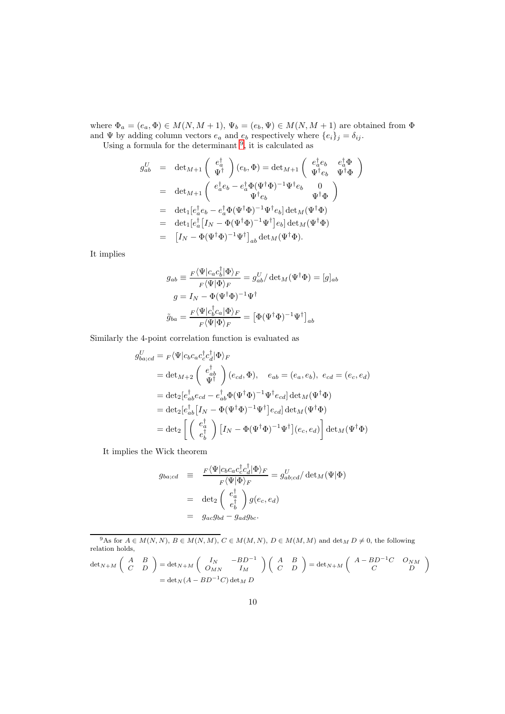where  $\Phi_a = (e_a, \Phi) \in M(N, M + 1), \Psi_b = (e_b, \Psi) \in M(N, M + 1)$  are obtained from  $\Phi$ and  $\Psi$  by adding column vectors  $e_a$  and  $e_b$  respectively where  $\{e_i\}_j = \delta_{ij}$ . Using a formula for the determinant  $9$ , it is calculated as

$$
g_{ab}^U = \det_{M+1} \begin{pmatrix} e_a^{\dagger} \\ \Psi^{\dagger} \end{pmatrix} (e_b, \Phi) = \det_{M+1} \begin{pmatrix} e_a^{\dagger} e_b & e_a^{\dagger} \Phi \\ \Psi^{\dagger} e_b & \Psi^{\dagger} \Phi \end{pmatrix}
$$
  
\n
$$
= \det_{M+1} \begin{pmatrix} e_a^{\dagger} e_b - e_a^{\dagger} \Phi (\Psi^{\dagger} \Phi)^{-1} \Psi^{\dagger} e_b & 0 \\ \Psi^{\dagger} e_b & \Psi^{\dagger} \Phi \end{pmatrix}
$$
  
\n
$$
= \det_1 [e_a^{\dagger} e_b - e_a^{\dagger} \Phi (\Psi^{\dagger} \Phi)^{-1} \Psi^{\dagger} e_b] \det_M (\Psi^{\dagger} \Phi)
$$
  
\n
$$
= \det_1 [e_a^{\dagger} [I_N - \Phi (\Psi^{\dagger} \Phi)^{-1} \Psi^{\dagger}] e_b] \det_M (\Psi^{\dagger} \Phi)
$$
  
\n
$$
= [I_N - \Phi (\Psi^{\dagger} \Phi)^{-1} \Psi^{\dagger}]_{ab} \det_M (\Psi^{\dagger} \Phi).
$$

It implies

$$
g_{ab} \equiv \frac{F \langle \Psi | c_a c_b^{\dagger} | \Phi \rangle_F}{F \langle \Psi | \Phi \rangle_F} = g_{ab}^U / \det_M(\Psi^{\dagger} \Phi) = [g]_{ab}
$$

$$
g = I_N - \Phi(\Psi^{\dagger} \Phi)^{-1} \Psi^{\dagger}
$$

$$
\tilde{g}_{ba} = \frac{F \langle \Psi | c_b^{\dagger} c_a | \Phi \rangle_F}{F \langle \Psi | \Phi \rangle_F} = \left[ \Phi (\Psi^{\dagger} \Phi)^{-1} \Psi^{\dagger} \right]_{ab}
$$

Similarly the 4-point correlation function is evaluated as

$$
g_{ba;cd}^U = F \langle \Psi | c_b c_a c_c^{\dagger} c_d^{\dagger} | \Phi \rangle_F
$$
  
\n
$$
= \det_{M+2} \begin{pmatrix} e_{ab}^{\dagger} \\ \Psi^{\dagger} \end{pmatrix} (e_{cd}, \Phi), \quad e_{ab} = (e_a, e_b), \ e_{cd} = (e_c, e_d)
$$
  
\n
$$
= \det_2 [e_{ab}^{\dagger} e_{cd} - e_{ab}^{\dagger} \Phi (\Psi^{\dagger} \Phi)^{-1} \Psi^{\dagger} e_{cd}] \det_M (\Psi^{\dagger} \Phi)
$$
  
\n
$$
= \det_2 [e_{ab}^{\dagger} [I_N - \Phi (\Psi^{\dagger} \Phi)^{-1} \Psi^{\dagger}] e_{cd}] \det_M (\Psi^{\dagger} \Phi)
$$
  
\n
$$
= \det_2 \left[ \begin{pmatrix} e_a^{\dagger} \\ e_b^{\dagger} \end{pmatrix} [I_N - \Phi (\Psi^{\dagger} \Phi)^{-1} \Psi^{\dagger}] (e_c, e_d) \right] \det_M (\Psi^{\dagger} \Phi)
$$

It implies the Wick theorem

$$
g_{ba;cd} \equiv \frac{F \langle \Psi | c_b c_a c_c^{\dagger} c_d^{\dagger} | \Phi \rangle_F}{F \langle \Psi | \Phi \rangle_F} = g_{ab;cd}^U / \det_M(\Psi | \Phi)
$$
  

$$
= \det_2 \begin{pmatrix} e_a^{\dagger} \\ e_b^{\dagger} \end{pmatrix} g(e_c, e_d)
$$
  

$$
= g_{ac} g_{bd} - g_{ad} g_{bc}.
$$

<span id="page-9-0"></span><sup>9</sup>As for  $A \in M(N, N)$ ,  $B \in M(N, M)$ ,  $C \in M(M, N)$ ,  $D \in M(M, M)$  and  $\det_M D \neq 0$ , the following relation holds,  $A \times B$ 

$$
\det_{N+M} \begin{pmatrix} A & B \\ C & D \end{pmatrix} = \det_{N+M} \begin{pmatrix} I_N & -BD^{-1} \\ O_{MN} & I_M \end{pmatrix} \begin{pmatrix} A & B \\ C & D \end{pmatrix} = \det_{N+M} \begin{pmatrix} A - BD^{-1}C & O_{NM} \\ C & D \end{pmatrix}
$$

$$
= \det_N(A - BD^{-1}C) \det_M D
$$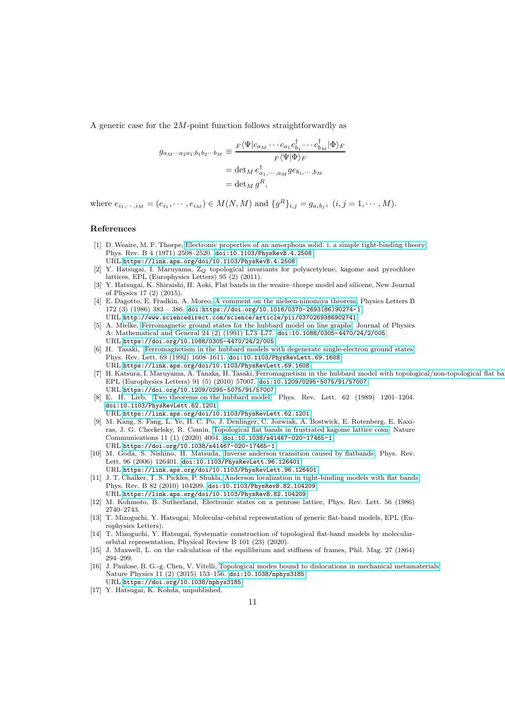A generic case for the 2M-point function follows straightforwardly as

$$
g_{a_M\cdots a_{2}a_{1};b_{1}b_{2}\cdots b_{M}} \equiv \frac{F\langle \Psi|c_{a_M}\cdots c_{a_1}c_{b_1}^{\dagger}\cdots c_{b_M}^{\dagger}|\Phi\rangle_F}{F\langle \Psi|\Phi\rangle_F}
$$
  
= det<sub>M</sub>  $e_{a_1,\cdots,a_M}^{\dagger} g e_{b_1,\cdots,b_M}$   
= det<sub>M</sub>  $g^R$ ,

where  $e_{i_1,\dots,i_M} = (e_{i_1}, \dots, e_{i_M}) \in M(N,M)$  and  $\{g^R\}_{i,j} = g_{a_ib_j}, (i,j = 1,\dots,M)$ .

## References

- <span id="page-10-0"></span>[1] D. Weaire, M. F. Thorpe, [Electronic properties of an amorphous solid. i. a simple tight-binding theory,](https://link.aps.org/doi/10.1103/PhysRevB.4.2508) Phys. Rev. B 4 (1971) 2508–2520. [doi:10.1103/PhysRevB.4.2508](https://doi.org/10.1103/PhysRevB.4.2508). URL <https://link.aps.org/doi/10.1103/PhysRevB.4.2508>
- <span id="page-10-1"></span>[2] Y. Hatsugai, I. Maruyama, Z<sup>Q</sup> topological invariants for polyacetylene, kagome and pyrochlore lattices, EPL (Europhysics Letters) 95 (2) (2011).
- <span id="page-10-2"></span>[3] Y. Hatsugai, K. Shiraishi, H. Aoki, Flat bands in the weaire–thorpe model and silicene, New Journal of Physics 17 (2) (2015).
- <span id="page-10-3"></span>[4] E. Dagotto, E. Fradkin, A. Moreo, [A comment on the nielsen-ninomiya theorem,](http://www.sciencedirect.com/science/article/pii/0370269386902741) Physics Letters B  $172 (3) (1986) 383 - 386.$  [doi:https://doi.org/10.1016/0370-2693\(86\)90274-1](https://doi.org/https://doi.org/10.1016/0370-2693(86)90274-1). URL <http://www.sciencedirect.com/science/article/pii/0370269386902741>
- <span id="page-10-4"></span>[5] A. Mielke, [Ferromagnetic ground states for the hubbard model on line graphs,](https://doi.org/10.1088/0305-4470/24/2/005) Journal of Physics A: Mathematical and General 24 (2) (1991) L73–L77. [doi:10.1088/0305-4470/24/2/005](https://doi.org/10.1088/0305-4470/24/2/005). URL <https://doi.org/10.1088/0305-4470/24/2/005>
- <span id="page-10-5"></span>[6] H. Tasaki, [Ferromagnetism in the hubbard models with degenerate single-electron ground states,](https://link.aps.org/doi/10.1103/PhysRevLett.69.1608) Phys. Rev. Lett. 69 (1992) 1608–1611. [doi:10.1103/PhysRevLett.69.1608](https://doi.org/10.1103/PhysRevLett.69.1608). URL <https://link.aps.org/doi/10.1103/PhysRevLett.69.1608>
- <span id="page-10-6"></span>[7] H. Katsura, I. Maruyama, A. Tanaka, H. Tasaki, [Ferromagnetism in the hubbard model with topological/non-topological flat bands,](https://doi.org/10.1209/0295-5075/91/57007) EPL (Europhysics Letters) 91 (5) (2010) 57007. [doi:10.1209/0295-5075/91/57007](https://doi.org/10.1209/0295-5075/91/57007). URL <https://doi.org/10.1209/0295-5075/91/57007>
- <span id="page-10-7"></span>[8] E. H. Lieb, [Two theorems on the hubbard model,](https://link.aps.org/doi/10.1103/PhysRevLett.62.1201) Phys. Rev. Lett. 62 (1989) 1201–1204. [doi:10.1103/PhysRevLett.62.1201](https://doi.org/10.1103/PhysRevLett.62.1201).
- URL <https://link.aps.org/doi/10.1103/PhysRevLett.62.1201>
- <span id="page-10-8"></span>[9] M. Kang, S. Fang, L. Ye, H. C. Po, J. Denlinger, C. Jozwiak, A. Bostwick, E. Rotenberg, E. Kaxiras, J. G. Checkelsky, R. Comin, [Topological flat bands in frustrated kagome lattice cosn,](https://doi.org/10.1038/s41467-020-17465-1) Nature Communications 11 (1) (2020) 4004. [doi:10.1038/s41467-020-17465-1](https://doi.org/10.1038/s41467-020-17465-1). URL <https://doi.org/10.1038/s41467-020-17465-1>
- <span id="page-10-9"></span>[10] M. Goda, S. Nishino, H. Matsuda, [Inverse anderson transition caused by flatbands,](https://link.aps.org/doi/10.1103/PhysRevLett.96.126401) Phys. Rev. Lett. 96 (2006) 126401. [doi:10.1103/PhysRevLett.96.126401](https://doi.org/10.1103/PhysRevLett.96.126401). URL <https://link.aps.org/doi/10.1103/PhysRevLett.96.126401>
- <span id="page-10-10"></span>[11] J. T. Chalker, T. S. Pickles, P. Shukla, [Anderson localization in tight-binding models with flat bands,](https://link.aps.org/doi/10.1103/PhysRevB.82.104209) Phys. Rev. B 82 (2010) 104209. [doi:10.1103/PhysRevB.82.104209](https://doi.org/10.1103/PhysRevB.82.104209). URL <https://link.aps.org/doi/10.1103/PhysRevB.82.104209>
- <span id="page-10-11"></span>[12] M. Kohmoto, B. Sutherland, Electronic states on a penrose lattice, Phys. Rev. Lett. 56 (1986) 2740–2743.
- <span id="page-10-12"></span>[13] T. Mizoguchi, Y. Hatsugai, Molecular-orbital representation of generic flat-band models, EPL (Europhysics Letters).
- <span id="page-10-13"></span>[14] T. Mizoguchi, Y. Hatsugai, Systematic construction of topological flat-band models by molecularorbital representation, Physical Review B 101 (23) (2020).
- <span id="page-10-15"></span>[15] J. Maxwell, L. on the calculation of the equilibrium and stiffness of frames, Phil. Mag. 27 (1864) 294–299.
- <span id="page-10-16"></span>[16] J. Paulose, B. G.-g. Chen, V. Vitelli, [Topological modes bound to dislocations in mechanical metamaterials,](https://doi.org/10.1038/nphys3185) Nature Physics 11 (2) (2015) 153–156. [doi:10.1038/nphys3185](https://doi.org/10.1038/nphys3185).
- <span id="page-10-14"></span>URL <https://doi.org/10.1038/nphys3185> [17] Y. Hatsugai, K. Kohda, unpublished.